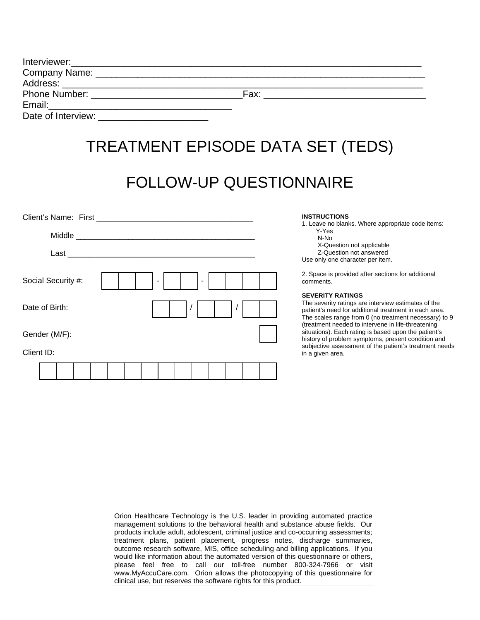|                                                                                                                                                                                                                                | Fax: |  |
|--------------------------------------------------------------------------------------------------------------------------------------------------------------------------------------------------------------------------------|------|--|
| Email: Email: All and the state of the state of the state of the state of the state of the state of the state of the state of the state of the state of the state of the state of the state of the state of the state of the s |      |  |
| Date of Interview:                                                                                                                                                                                                             |      |  |

# TREATMENT EPISODE DATA SET (TEDS)

## FOLLOW-UP QUESTIONNAIRE

| Social Security #:<br>$\sim$<br>٠ |  |
|-----------------------------------|--|
| Date of Birth:                    |  |
| Gender (M/F):                     |  |
| Client ID:                        |  |
|                                   |  |

#### **INSTRUCTIONS**

1. Leave no blanks. Where appropriate code items: Y-Yes N-No X-Question not applicable

Z-Question not answered

Use only one character per item.

2. Space is provided after sections for additional comments.

#### **SEVERITY RATINGS**

The severity ratings are interview estimates of the patient's need for additional treatment in each area. The scales range from 0 (no treatment necessary) to 9 (treatment needed to intervene in life-threatening situations). Each rating is based upon the patient's history of problem symptoms, present condition and subjective assessment of the patient's treatment needs in a given area.

Orion Healthcare Technology is the U.S. leader in providing automated practice management solutions to the behavioral health and substance abuse fields. Our products include adult, adolescent, criminal justice and co-occurring assessments; treatment plans, patient placement, progress notes, discharge summaries, outcome research software, MIS, office scheduling and billing applications. If you would like information about the automated version of this questionnaire or others, please feel free to call our toll-free number 800-324-7966 or visit www.MyAccuCare.com. Orion allows the photocopying of this questionnaire for clinical use, but reserves the software rights for this product.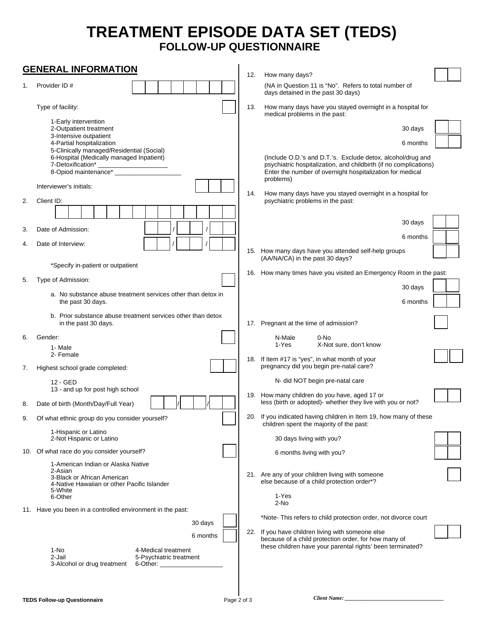### **TREATMENT EPISODE DATA SET (TEDS) FOLLOW-UP QUESTIONNAIRE**

| <b>GENERAL INFORMATION</b>                                 |                                                                                                                                    |                                    |                                                                                                                                                                                                            |  |
|------------------------------------------------------------|------------------------------------------------------------------------------------------------------------------------------------|------------------------------------|------------------------------------------------------------------------------------------------------------------------------------------------------------------------------------------------------------|--|
|                                                            | Provider ID#                                                                                                                       | 12.                                | How many days?<br>(NA in Question 11 is "No". Refers to total number of                                                                                                                                    |  |
| 1.                                                         |                                                                                                                                    | days detained in the past 30 days) |                                                                                                                                                                                                            |  |
|                                                            | Type of facility:                                                                                                                  |                                    | How many days have you stayed overnight in a hospital for<br>13.<br>medical problems in the past:                                                                                                          |  |
|                                                            | 1-Early intervention<br>2-Outpatient treatment<br>3-Intensive outpatient                                                           |                                    | 30 days                                                                                                                                                                                                    |  |
|                                                            | 4-Partial hospitalization                                                                                                          |                                    | 6 months                                                                                                                                                                                                   |  |
|                                                            | 5-Clinically managed/Residential (Social)<br>6-Hospital (Medically managed Inpatient)<br>7-Detoxification*<br>8-Opiod maintenance* |                                    | (Include O.D.'s and D.T.'s. Exclude detox, alcohol/drug and<br>psychiatric hospitalization, and childbirth (if no complications)<br>Enter the number of overnight hospitalization for medical<br>problems) |  |
|                                                            | Interviewer's initials:                                                                                                            | 14.                                | How many days have you stayed overnight in a hospital for                                                                                                                                                  |  |
| 2.                                                         | Client ID:                                                                                                                         |                                    | psychiatric problems in the past:                                                                                                                                                                          |  |
|                                                            |                                                                                                                                    |                                    |                                                                                                                                                                                                            |  |
| 3.                                                         | Date of Admission:                                                                                                                 |                                    | 30 days<br>6 months                                                                                                                                                                                        |  |
| 4.                                                         | Date of Interview:                                                                                                                 |                                    |                                                                                                                                                                                                            |  |
|                                                            |                                                                                                                                    |                                    | 15. How many days have you attended self-help groups<br>(AA/NA/CA) in the past 30 days?                                                                                                                    |  |
|                                                            | *Specify in-patient or outpatient                                                                                                  |                                    | 16. How many times have you visited an Emergency Room in the past:                                                                                                                                         |  |
| 5.                                                         | Type of Admission:                                                                                                                 |                                    | 30 days                                                                                                                                                                                                    |  |
|                                                            | a. No substance abuse treatment services other than detox in<br>the past 30 days.                                                  |                                    | 6 months                                                                                                                                                                                                   |  |
|                                                            | b. Prior substance abuse treatment services other than detox<br>in the past 30 days.                                               |                                    | 17. Pregnant at the time of admission?                                                                                                                                                                     |  |
| 6.                                                         | Gender:                                                                                                                            |                                    | N-Male<br>0-No                                                                                                                                                                                             |  |
|                                                            | 1- Male<br>2- Female                                                                                                               |                                    | X-Not sure, don't know<br>1-Yes                                                                                                                                                                            |  |
| 7.                                                         | Highest school grade completed:                                                                                                    |                                    | 18. If Item #17 is "yes", in what month of your<br>pregnancy did you begin pre-natal care?                                                                                                                 |  |
|                                                            | 12 - GED                                                                                                                           |                                    | N- did NOT begin pre-natal care                                                                                                                                                                            |  |
| 8.                                                         | 13 - and up for post high school<br>Date of birth (Month/Day/Full Year)                                                            |                                    | 19. How many children do you have, aged 17 or<br>less (birth or adopted)- whether they live with you or not?                                                                                               |  |
| 9.                                                         | Of what ethnic group do you consider yourself?                                                                                     |                                    | 20. If you indicated having children in Item 19, how many of these<br>children spent the majority of the past:                                                                                             |  |
|                                                            | 1-Hispanic or Latino<br>2-Not Hispanic or Latino                                                                                   |                                    | 30 days living with you?                                                                                                                                                                                   |  |
|                                                            | 10. Of what race do you consider yourself?                                                                                         |                                    | 6 months living with you?                                                                                                                                                                                  |  |
|                                                            | 1-American Indian or Alaska Native                                                                                                 |                                    |                                                                                                                                                                                                            |  |
|                                                            | 2-Asian<br>3-Black or African American<br>4-Native Hawaiian or other Pacific Islander                                              |                                    | 21. Are any of your children living with someone<br>else because of a child protection order*?                                                                                                             |  |
|                                                            | 5-White<br>6-Other                                                                                                                 |                                    | 1-Yes<br>2-No                                                                                                                                                                                              |  |
| 11. Have you been in a controlled environment in the past: |                                                                                                                                    |                                    |                                                                                                                                                                                                            |  |
|                                                            | 30 days                                                                                                                            |                                    | *Note-This refers to child protection order, not divorce court                                                                                                                                             |  |
|                                                            | 6 months                                                                                                                           |                                    | 22. If you have children living with someone else<br>because of a child protection order, for how many of                                                                                                  |  |
|                                                            | 1-No<br>4-Medical treatment<br>2-Jail<br>5-Psychiatric treatment<br>3-Alcohol or drug treatment<br>6-Other: $\_$                   |                                    | these children have your parental rights' been terminated?                                                                                                                                                 |  |
|                                                            |                                                                                                                                    |                                    |                                                                                                                                                                                                            |  |